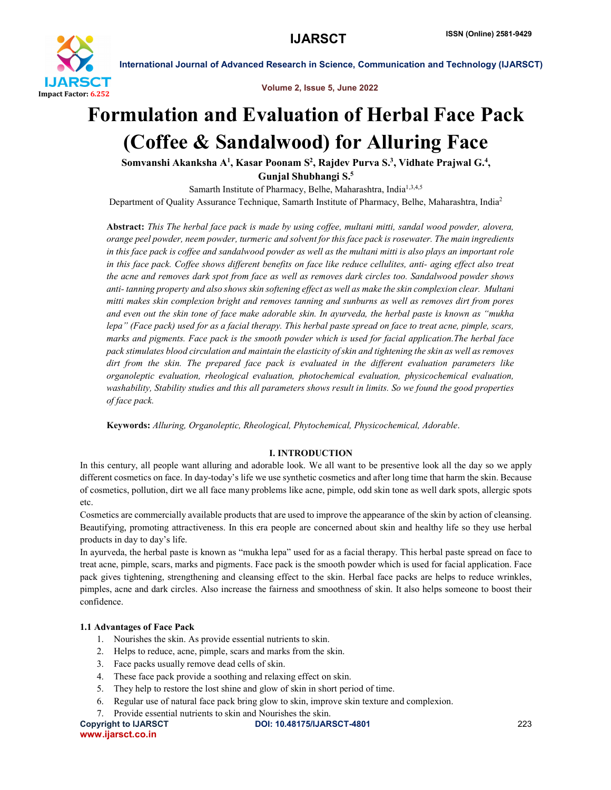

Volume 2, Issue 5, June 2022

# Formulation and Evaluation of Herbal Face Pack (Coffee & Sandalwood) for Alluring Face

Somvanshi Akanksha A<sup>1</sup>, Kasar Poonam S<sup>2</sup>, Rajdev Purva S.<sup>3</sup>, Vidhate Prajwal G.<sup>4</sup>,

Gunjal Shubhangi S.5

Samarth Institute of Pharmacy, Belhe, Maharashtra, India<sup>1,3,4,5</sup> Department of Quality Assurance Technique, Samarth Institute of Pharmacy, Belhe, Maharashtra, India2

Abstract: *This The herbal face pack is made by using coffee, multani mitti, sandal wood powder, alovera, orange peel powder, neem powder, turmeric and solvent for this face pack is rosewater. The main ingredients in this face pack is coffee and sandalwood powder as well as the multani mitti is also plays an important role in this face pack. Coffee shows different benefits on face like reduce cellulites, anti- aging effect also treat the acne and removes dark spot from face as well as removes dark circles too. Sandalwood powder shows anti- tanning property and also shows skin softening effect as well as make the skin complexion clear. Multani mitti makes skin complexion bright and removes tanning and sunburns as well as removes dirt from pores and even out the skin tone of face make adorable skin. In ayurveda, the herbal paste is known as "mukha lepa" (Face pack) used for as a facial therapy. This herbal paste spread on face to treat acne, pimple, scars, marks and pigments. Face pack is the smooth powder which is used for facial application.The herbal face pack stimulates blood circulation and maintain the elasticity of skin and tightening the skin as well as removes dirt from the skin. The prepared face pack is evaluated in the different evaluation parameters like organoleptic evaluation, rheological evaluation, photochemical evaluation, physicochemical evaluation, washability, Stability studies and this all parameters shows result in limits. So we found the good properties of face pack.*

Keywords: *Alluring, Organoleptic, Rheological, Phytochemical, Physicochemical, Adorable*.

# I. INTRODUCTION

In this century, all people want alluring and adorable look. We all want to be presentive look all the day so we apply different cosmetics on face. In day-today's life we use synthetic cosmetics and after long time that harm the skin. Because of cosmetics, pollution, dirt we all face many problems like acne, pimple, odd skin tone as well dark spots, allergic spots etc.

Cosmetics are commercially available products that are used to improve the appearance of the skin by action of cleansing. Beautifying, promoting attractiveness. In this era people are concerned about skin and healthy life so they use herbal products in day to day's life.

In ayurveda, the herbal paste is known as "mukha lepa" used for as a facial therapy. This herbal paste spread on face to treat acne, pimple, scars, marks and pigments. Face pack is the smooth powder which is used for facial application. Face pack gives tightening, strengthening and cleansing effect to the skin. Herbal face packs are helps to reduce wrinkles, pimples, acne and dark circles. Also increase the fairness and smoothness of skin. It also helps someone to boost their confidence.

# 1.1 Advantages of Face Pack

- 1. Nourishes the skin. As provide essential nutrients to skin.
- 2. Helps to reduce, acne, pimple, scars and marks from the skin.
- 3. Face packs usually remove dead cells of skin.
- 4. These face pack provide a soothing and relaxing effect on skin.
- 5. They help to restore the lost shine and glow of skin in short period of time.
- 6. Regular use of natural face pack bring glow to skin, improve skin texture and complexion.
- 7. Provide essential nutrients to skin and Nourishes the skin.

Copyright to IJARSCT DOI: 10.48175/IJARSCT-4801 223 www.ijarsct.co.in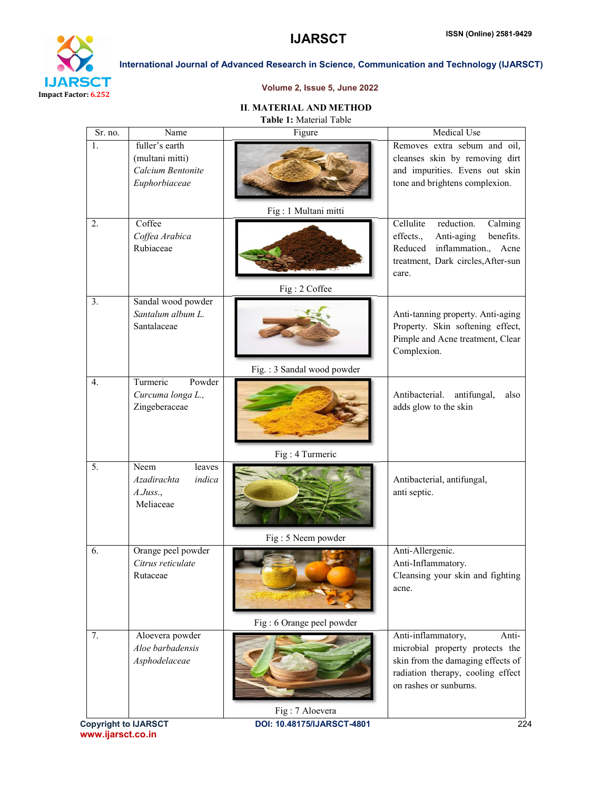

# Volume 2, Issue 5, June 2022

# II. MATERIAL AND METHOD

Table 1: Material Table

| Sr. no.          | $\overline{\text{Name}}$                                                | Figure                     | Medical Use                                                                                                                                                    |
|------------------|-------------------------------------------------------------------------|----------------------------|----------------------------------------------------------------------------------------------------------------------------------------------------------------|
| 1.               | fuller's earth<br>(multani mitti)<br>Calcium Bentonite<br>Euphorbiaceae |                            | Removes extra sebum and oil,<br>cleanses skin by removing dirt<br>and impurities. Evens out skin<br>tone and brightens complexion.                             |
|                  |                                                                         | Fig: 1 Multani mitti       |                                                                                                                                                                |
| 2.               | Coffee<br>Coffea Arabica<br>Rubiaceae                                   | Fig: 2 Coffee              | Cellulite<br>reduction.<br>Calming<br>effects.,<br>benefits.<br>Anti-aging<br>inflammation.,<br>Reduced<br>Acne<br>treatment, Dark circles, After-sun<br>care. |
| 3.               | Sandal wood powder<br>Santalum album L.<br>Santalaceae                  |                            | Anti-tanning property. Anti-aging<br>Property. Skin softening effect,<br>Pimple and Acne treatment, Clear<br>Complexion.                                       |
|                  |                                                                         | Fig.: 3 Sandal wood powder |                                                                                                                                                                |
| 4.               | Powder<br>Turmeric<br>Curcuma longa L.,<br>Zingeberaceae                |                            | Antibacterial.<br>antifungal,<br>also<br>adds glow to the skin                                                                                                 |
|                  |                                                                         | Fig: 4 Turmeric            |                                                                                                                                                                |
| $\overline{5}$ . | Neem<br>leaves<br>Azadirachta<br>indica<br>A.Juss.<br>Meliaceae         | Fig: 5 Neem powder         | Antibacterial, antifungal,<br>anti septic.                                                                                                                     |
| 6.               | Orange peel powder<br>Citrus reticulate<br>Rutaceae                     | Fig: 6 Orange peel powder  | Anti-Allergenic.<br>Anti-Inflammatory.<br>Cleansing your skin and fighting<br>acne.                                                                            |
| 7.               | Aloevera powder                                                         |                            | Anti-inflammatory,<br>Anti-                                                                                                                                    |
|                  | Aloe barbadensis<br>Asphodelaceae                                       | Fig: 7 Aloevera            | microbial property protects the<br>skin from the damaging effects of<br>radiation therapy, cooling effect<br>on rashes or sunburns.                            |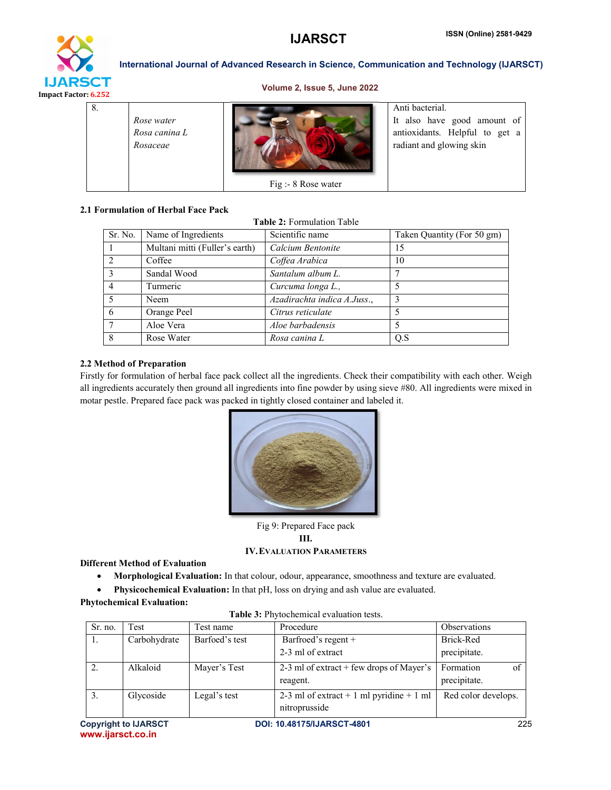

### Volume 2, Issue 5, June 2022

| 8. | Rose water<br>Rosa canina L<br>Rosaceae |                     | Anti bacterial.<br>It also have good amount of<br>antioxidants. Helpful to get a<br>radiant and glowing skin |
|----|-----------------------------------------|---------------------|--------------------------------------------------------------------------------------------------------------|
|    |                                         | Fig :- 8 Rose water |                                                                                                              |

# 2.1 Formulation of Herbal Face Pack

Table 2: Formulation Table

| Sr. No. | Name of Ingredients            | Scientific name             | Taken Quantity (For 50 gm) |
|---------|--------------------------------|-----------------------------|----------------------------|
|         | Multani mitti (Fuller's earth) | Calcium Bentonite           | 15                         |
| 2       | Coffee                         | Coffea Arabica              | 10                         |
|         | Sandal Wood                    | Santalum album L.           |                            |
|         | Turmeric                       | Curcuma longa L.,           |                            |
|         | Neem                           | Azadirachta indica A.Juss., | 3                          |
| 6       | Orange Peel                    | Citrus reticulate           |                            |
|         | Aloe Vera                      | Aloe barbadensis            |                            |
| 8       | Rose Water                     | Rosa canina L               | Q.S                        |

# 2.2 Method of Preparation

Firstly for formulation of herbal face pack collect all the ingredients. Check their compatibility with each other. Weigh all ingredients accurately then ground all ingredients into fine powder by using sieve #80. All ingredients were mixed in motar pestle. Prepared face pack was packed in tightly closed container and labeled it.



Fig 9: Prepared Face pack III. IV.EVALUATION PARAMETERS

# Different Method of Evaluation

- Morphological Evaluation: In that colour, odour, appearance, smoothness and texture are evaluated.
- Physicochemical Evaluation: In that pH, loss on drying and ash value are evaluated.

| Sr. no. | Test         | Test name      | Procedure                                                 | <b>Observations</b>             |
|---------|--------------|----------------|-----------------------------------------------------------|---------------------------------|
| Ι.      | Carbohydrate | Barfoed's test | Barfroed's regent +                                       | Brick-Red                       |
|         |              |                | 2-3 ml of extract                                         | precipitate.                    |
|         | Alkaloid     | Mayer's Test   | 2-3 ml of extract $+$ few drops of Mayer's<br>reagent.    | Formation<br>of<br>precipitate. |
| 3.      | Glycoside    | Legal's test   | 2-3 ml of extract + 1 ml pyridine + 1 ml<br>nitroprusside | Red color develops.             |

Table 3: Phytochemical evaluation tests.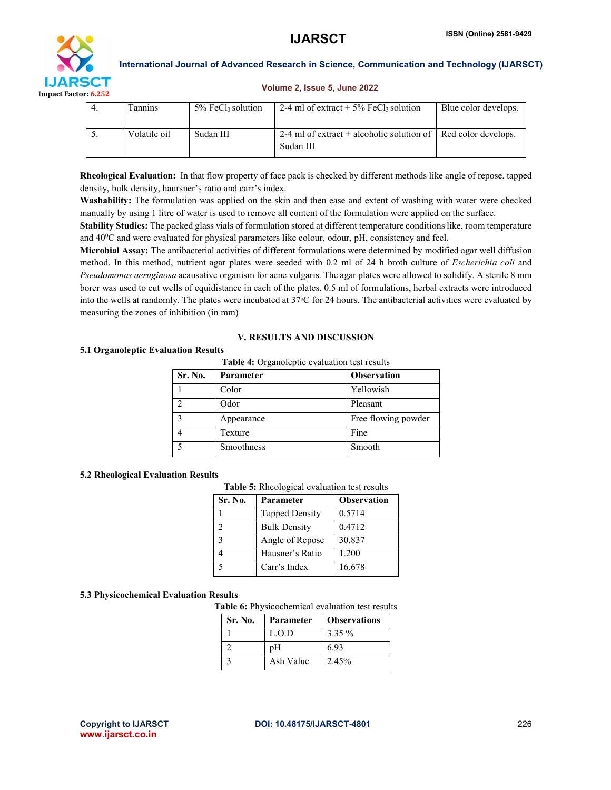

#### Volume 2, Issue 5, June 2022

| Fannins      | $5\%$ FeCl <sub>3</sub> solution | 2-4 ml of extract $+ 5\%$ FeCl solution                                            | Blue color develops. |
|--------------|----------------------------------|------------------------------------------------------------------------------------|----------------------|
| Volatile oil | Sudan III                        | 2-4 ml of extract + alcoholic solution of $\vert$ Red color develops.<br>Sudan III |                      |

Rheological Evaluation: In that flow property of face pack is checked by different methods like angle of repose, tapped density, bulk density, haursner's ratio and carr's index.

Washability: The formulation was applied on the skin and then ease and extent of washing with water were checked manually by using 1 litre of water is used to remove all content of the formulation were applied on the surface.

Stability Studies: The packed glass vials of formulation stored at different temperature conditions like, room temperature and 40<sup>o</sup>C and were evaluated for physical parameters like colour, odour, pH, consistency and feel.

Microbial Assay: The antibacterial activities of different formulations were determined by modified agar well diffusion method. In this method, nutrient agar plates were seeded with 0.2 ml of 24 h broth culture of *Escherichia coli* and *Pseudomonas aeruginosa* acausative organism for acne vulgaris. The agar plates were allowed to solidify. A sterile 8 mm borer was used to cut wells of equidistance in each of the plates. 0.5 ml of formulations, herbal extracts were introduced into the wells at randomly. The plates were incubated at 37 °C for 24 hours. The antibacterial activities were evaluated by measuring the zones of inhibition (in mm)

#### V. RESULTS AND DISCUSSION

#### 5.1 Organoleptic Evaluation Results

|  | Table 4: Organoleptic evaluation test results |
|--|-----------------------------------------------|
|--|-----------------------------------------------|

| Sr. No.                 | Parameter  | <b>Observation</b>  |
|-------------------------|------------|---------------------|
|                         | Color      | Yellowish           |
|                         | Odor       | Pleasant            |
| $\mathbf{\overline{2}}$ | Appearance | Free flowing powder |
|                         | Texture    | Fine                |
|                         | Smoothness | Smooth              |

#### 5.2 Rheological Evaluation Results

#### 5.3 Physicochemical Evaluation Results

Table 6: Physicochemical evaluation test results

| Sr. No. | Parameter | <b>Observations</b> |
|---------|-----------|---------------------|
|         | L.O.D     | $3.35\%$            |
|         | pH        | 6.93                |
|         | Ash Value | 2.45%               |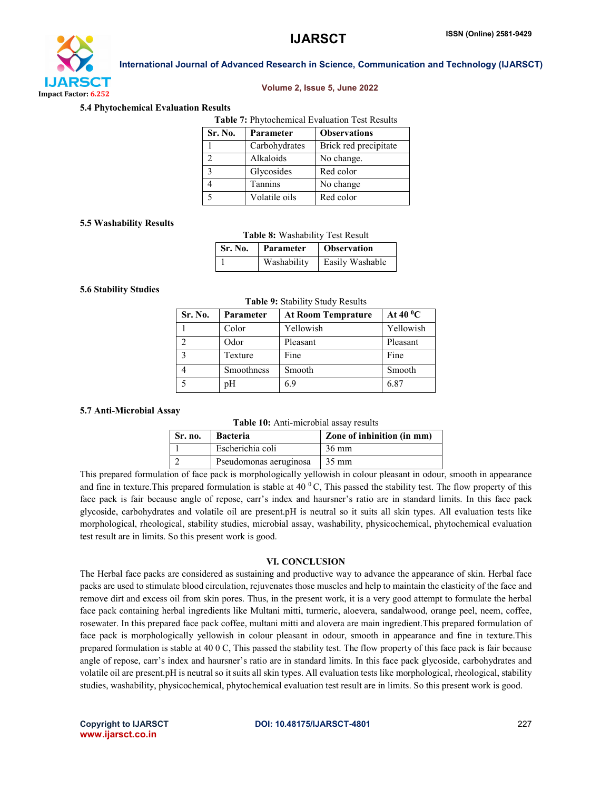

# Volume 2, Issue 5, June 2022

#### 5.4 Phytochemical Evaluation Results

| <b>Table 7: Phytochemical Evaluation Test Results</b> |               |                       |  |
|-------------------------------------------------------|---------------|-----------------------|--|
| Sr. No.                                               | Parameter     | <b>Observations</b>   |  |
|                                                       | Carbohydrates | Brick red precipitate |  |
|                                                       | Alkaloids     | No change.            |  |
|                                                       | Glycosides    | Red color             |  |

4 Tannins No change 5 Volatile oils Red color

#### 5.5 Washability Results

#### Table 8: Washability Test Result

| <b>Sr. No.</b> | <b>Parameter</b> | <b>Observation</b> |
|----------------|------------------|--------------------|
|                | Washability      | Easily Washable    |

#### 5.6 Stability Studies

#### Table 9: Stability Study Results

| Sr. No.           | Parameter  | <b>At Room Temprature</b> | At 40 $\rm ^{0}C$ |
|-------------------|------------|---------------------------|-------------------|
|                   | Color      | Yellowish                 | Yellowish         |
|                   | Odor       | Pleasant                  | Pleasant          |
| $\mathbf{\Omega}$ | Texture    | Fine                      | Fine              |
|                   | Smoothness | Smooth                    | Smooth            |
|                   | pH         | 6.9                       | 6.87              |

#### 5.7 Anti-Microbial Assay

|  | Table 10: Anti-microbial assay results |  |
|--|----------------------------------------|--|
|--|----------------------------------------|--|

| Sr. no. | <b>Bacteria</b>        | Zone of inhinition (in mm) |
|---------|------------------------|----------------------------|
|         | Escherichia coli       | $36 \text{ mm}$            |
|         | Pseudomonas aeruginosa | $35 \text{ mm}$            |

This prepared formulation of face pack is morphologically yellowish in colour pleasant in odour, smooth in appearance and fine in texture. This prepared formulation is stable at 40  $\degree$ C. This passed the stability test. The flow property of this face pack is fair because angle of repose, carr's index and haursner's ratio are in standard limits. In this face pack glycoside, carbohydrates and volatile oil are present.pH is neutral so it suits all skin types. All evaluation tests like morphological, rheological, stability studies, microbial assay, washability, physicochemical, phytochemical evaluation test result are in limits. So this present work is good.

#### VI. CONCLUSION

The Herbal face packs are considered as sustaining and productive way to advance the appearance of skin. Herbal face packs are used to stimulate blood circulation, rejuvenates those muscles and help to maintain the elasticity of the face and remove dirt and excess oil from skin pores. Thus, in the present work, it is a very good attempt to formulate the herbal face pack containing herbal ingredients like Multani mitti, turmeric, aloevera, sandalwood, orange peel, neem, coffee, rosewater. In this prepared face pack coffee, multani mitti and alovera are main ingredient.This prepared formulation of face pack is morphologically yellowish in colour pleasant in odour, smooth in appearance and fine in texture.This prepared formulation is stable at 40 0 C, This passed the stability test. The flow property of this face pack is fair because angle of repose, carr's index and haursner's ratio are in standard limits. In this face pack glycoside, carbohydrates and volatile oil are present.pH is neutral so it suits all skin types. All evaluation tests like morphological, rheological, stability studies, washability, physicochemical, phytochemical evaluation test result are in limits. So this present work is good.

www.ijarsct.co.in